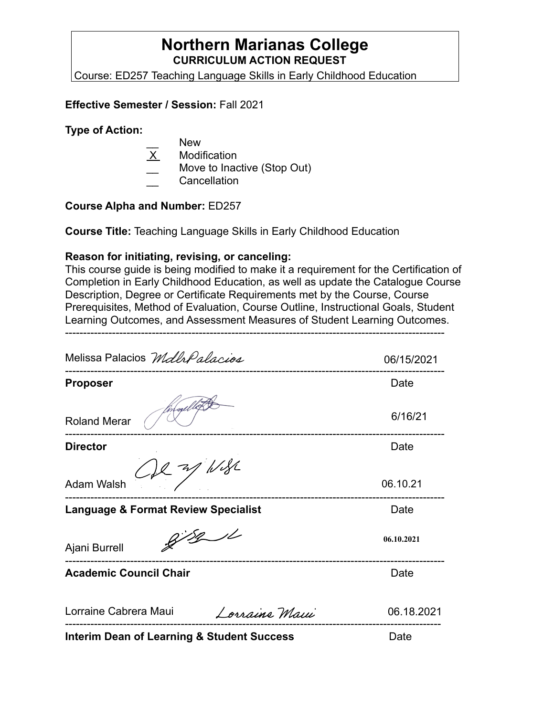# **Northern Marianas College CURRICULUM ACTION REQUEST**

Course: ED257 Teaching Language Skills in Early Childhood Education

#### **Effective Semester / Session:** Fall 2021

#### **Type of Action:**

- New
- **Modification**
- Move to Inactive (Stop Out)
- \_\_ Cancellation

#### **Course Alpha and Number:** ED257

**Course Title:** Teaching Language Skills in Early Childhood Education

#### **Reason for initiating, revising, or canceling:**

This course guide is being modified to make it a requirement for the Certification of Completion in Early Childhood Education, as well as update the Catalogue Course Description, Degree or Certificate Requirements met by the Course, Course Prerequisites, Method of Evaluation, Course Outline, Instructional Goals, Student Learning Outcomes, and Assessment Measures of Student Learning Outcomes.

---------------------------------------------------------------------------------------------------------

Melissa Palacios Mdla Palacios 06/15/2021 --------------------------------------------------------------------------------------------------------- **Proposer** Date 6/16/21 Roland Merar --------------------------------------------------------------------------------------------------------- **Director Director** Date **Director** 1 W SL Adam Walsh 06.10.21 --------------------------------------------------------------------------------------------------------- **Language & Format Review Specialist Canadiation Control Cate**  $8/8/1$ **06.10.2021** Ajani Burrell --------------------------------------------------------------------------------------------------------- **Academic Council Chair Date 10 Academic Council Chair** Lorraine Cabrera Maui Lorraine Maui 06.18.2021-------------------------------------------------------------------------------------------------------- **Interim Dean of Learning & Student Success** Date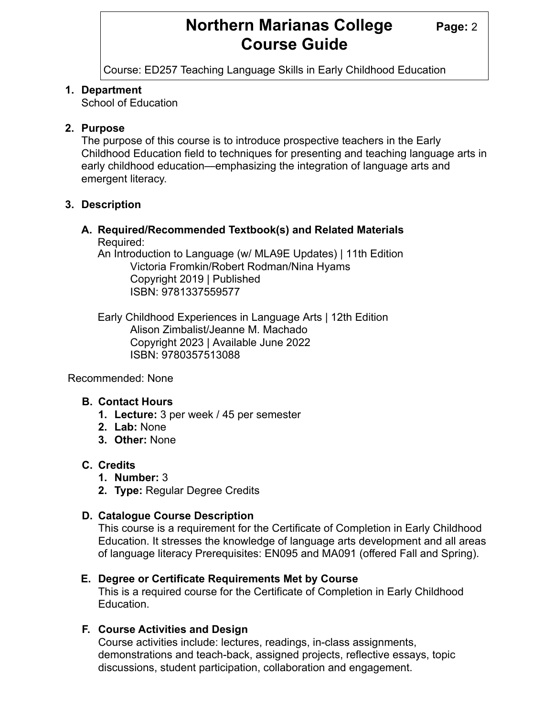# **Northern Marianas College Page: 2 Course Guide**

Course: ED257 Teaching Language Skills in Early Childhood Education

### **1. Department**

School of Education

# **2. Purpose**

The purpose of this course is to introduce prospective teachers in the Early Childhood Education field to techniques for presenting and teaching language arts in early childhood education—emphasizing the integration of language arts and emergent literacy.

### **3. Description**

#### **A. Required/Recommended Textbook(s) and Related Materials**  Required:

An Introduction to Language (w/ MLA9E Updates) | 11th Edition Victoria Fromkin/Robert Rodman/Nina Hyams Copyright 2019 | Published ISBN: 9781337559577

Early Childhood Experiences in Language Arts | 12th Edition Alison Zimbalist/Jeanne M. Machado Copyright 2023 | Available June 2022 ISBN: 9780357513088

Recommended: None

# **B. Contact Hours**

- **1. Lecture:** 3 per week / 45 per semester
- **2. Lab:** None
- **3. Other:** None

# **C. Credits**

- **1. Number:** 3
- **2. Type:** Regular Degree Credits

# **D. Catalogue Course Description**

This course is a requirement for the Certificate of Completion in Early Childhood Education. It stresses the knowledge of language arts development and all areas of language literacy Prerequisites: EN095 and MA091 (offered Fall and Spring).

# **E. Degree or Certificate Requirements Met by Course**

This is a required course for the Certificate of Completion in Early Childhood Education.

# **F. Course Activities and Design**

Course activities include: lectures, readings, in-class assignments, demonstrations and teach-back, assigned projects, reflective essays, topic discussions, student participation, collaboration and engagement.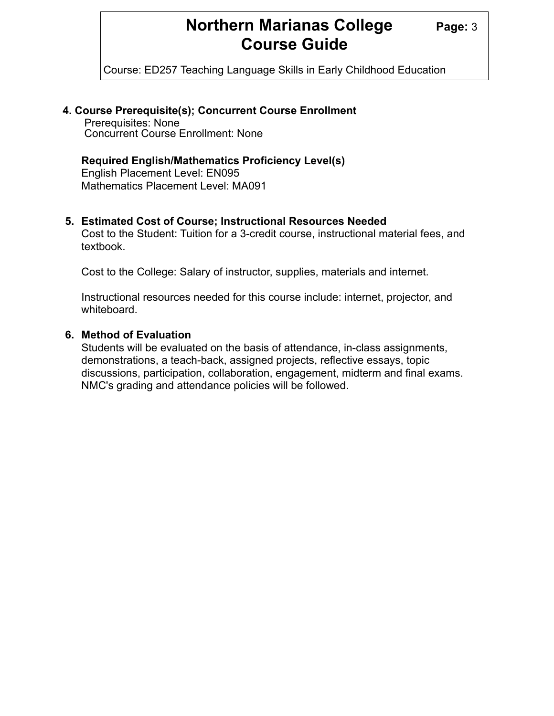# **Northern Marianas College Page: 3 Course Guide**

Course: ED257 Teaching Language Skills in Early Childhood Education

#### **4. Course Prerequisite(s); Concurrent Course Enrollment**

Prerequisites: None Concurrent Course Enrollment: None

#### **Required English/Mathematics Proficiency Level(s)**

English Placement Level: EN095 Mathematics Placement Level: MA091

#### **5. Estimated Cost of Course; Instructional Resources Needed**

Cost to the Student: Tuition for a 3-credit course, instructional material fees, and textbook.

Cost to the College: Salary of instructor, supplies, materials and internet.

Instructional resources needed for this course include: internet, projector, and whiteboard.

#### **6. Method of Evaluation**

Students will be evaluated on the basis of attendance, in-class assignments, demonstrations, a teach-back, assigned projects, reflective essays, topic discussions, participation, collaboration, engagement, midterm and final exams. NMC's grading and attendance policies will be followed.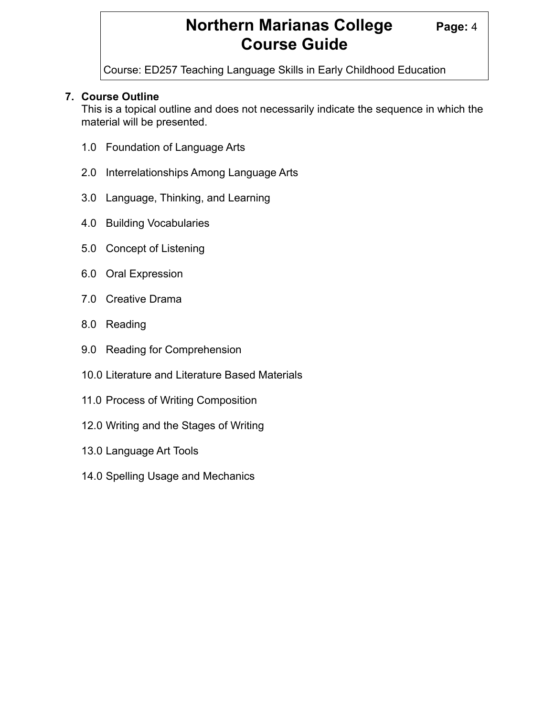# **Northern Marianas College Page: 4 Course Guide**

Course: ED257 Teaching Language Skills in Early Childhood Education

# **7. Course Outline**

 This is a topical outline and does not necessarily indicate the sequence in which the material will be presented.

- 1.0 Foundation of Language Arts
- 2.0 Interrelationships Among Language Arts
- 3.0 Language, Thinking, and Learning
- 4.0 Building Vocabularies
- 5.0 Concept of Listening
- 6.0 Oral Expression
- 7.0 Creative Drama
- 8.0 Reading
- 9.0 Reading for Comprehension
- 10.0 Literature and Literature Based Materials
- 11.0 Process of Writing Composition
- 12.0 Writing and the Stages of Writing
- 13.0 Language Art Tools
- 14.0 Spelling Usage and Mechanics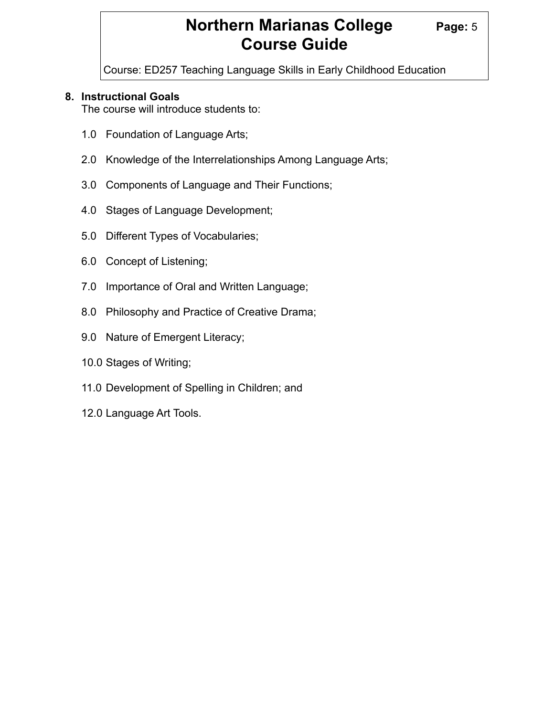# **Northern Marianas College Page: 5 Course Guide**

Course: ED257 Teaching Language Skills in Early Childhood Education

### **8. Instructional Goals**

The course will introduce students to:

- 1.0 Foundation of Language Arts;
- 2.0 Knowledge of the Interrelationships Among Language Arts;
- 3.0 Components of Language and Their Functions;
- 4.0 Stages of Language Development;
- 5.0 Different Types of Vocabularies;
- 6.0 Concept of Listening;
- 7.0 Importance of Oral and Written Language;
- 8.0 Philosophy and Practice of Creative Drama;
- 9.0 Nature of Emergent Literacy;
- 10.0 Stages of Writing;
- 11.0 Development of Spelling in Children; and
- 12.0 Language Art Tools.